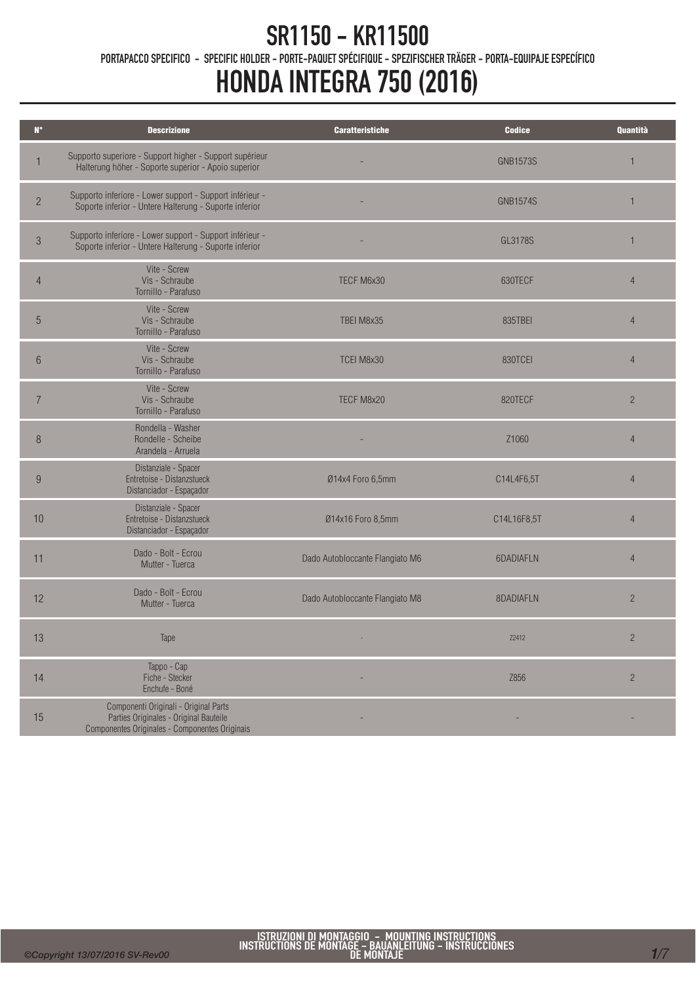PORTAPACCO SPECIFICO - SPECIFIC HOLDER - PORTE-PAQUET SPÉCIFIQUE - SPEZIFISCHER TRÄGER - PORTA-EQUIPAJE ESPECÍFICO

| $N^{\circ}$    | <b>Descrizione</b>                                                                                                                | <b>Caratteristiche</b>          | <b>Codice</b>   | <b>Quantità</b> |
|----------------|-----------------------------------------------------------------------------------------------------------------------------------|---------------------------------|-----------------|-----------------|
| 1              | Supporto superiore - Support higher - Support supérieur<br>Halterung höher - Soporte superior - Apoio superior                    |                                 | <b>GNB1573S</b> | 1               |
| $\overline{2}$ | Supporto inferiore - Lower support - Support inférieur -<br>Soporte inferior - Untere Halterung - Suporte inferior                |                                 | <b>GNB1574S</b> | $\mathbf{1}$    |
| $\sqrt{3}$     | Supporto inferiore - Lower support - Support inférieur -<br>Soporte inferior - Untere Halterung - Suporte inferior                |                                 | GL3178S         | $\mathbf{1}$    |
| $\overline{4}$ | Vite - Screw<br>Vis - Schraube<br>Tornillo - Parafuso                                                                             | TECF M6x30                      | 630TECF         | $\overline{4}$  |
| 5              | Vite - Screw<br>Vis - Schraube<br>Tornillo - Parafuso                                                                             | TBEI M8x35                      | 835TBEI         | $\overline{4}$  |
| 6              | Vite - Screw<br>Vis - Schraube<br>Tornillo - Parafuso                                                                             | TCEI M8x30                      | 830TCEI         | $\overline{4}$  |
| $\overline{7}$ | Vite - Screw<br>Vis - Schraube<br>Tornillo - Parafuso                                                                             | TECF M8x20                      | 820TECF         | $\overline{c}$  |
| 8              | Rondella - Washer<br>Rondelle - Scheibe<br>Arandela - Arruela                                                                     |                                 | Z1060           | $\overline{4}$  |
| 9              | Distanziale - Spacer<br>Entretoise - Distanzstueck<br>Distanciador - Espaçador                                                    | Ø14x4 Foro 6,5mm                | C14L4F6,5T      | $\overline{4}$  |
| 10             | Distanziale - Spacer<br>Entretoise - Distanzstueck<br>Distanciador - Espaçador                                                    | Ø14x16 Foro 8,5mm               | C14L16F8,5T     | $\overline{4}$  |
| 11             | Dado - Bolt - Ecrou<br>Mutter - Tuerca                                                                                            | Dado Autobloccante Flangiato M6 | 6DADIAFLN       | $\overline{4}$  |
| 12             | Dado - Bolt - Ecrou<br>Mutter - Tuerca                                                                                            | Dado Autobloccante Flangiato M8 | 8DADIAFLN       | $\overline{2}$  |
| 13             | Tape                                                                                                                              |                                 | <b>Z2412</b>    | $\overline{c}$  |
| 14             | Tappo - Cap<br>Fiche - Stecker<br>Enchufe - Boné                                                                                  |                                 | Z856            | $\sqrt{2}$      |
| 15             | Componenti Originali - Original Parts<br>Parties Originales - Original Bauteile<br>Componentes Originales - Componentes Originais |                                 |                 |                 |
|                |                                                                                                                                   |                                 |                 |                 |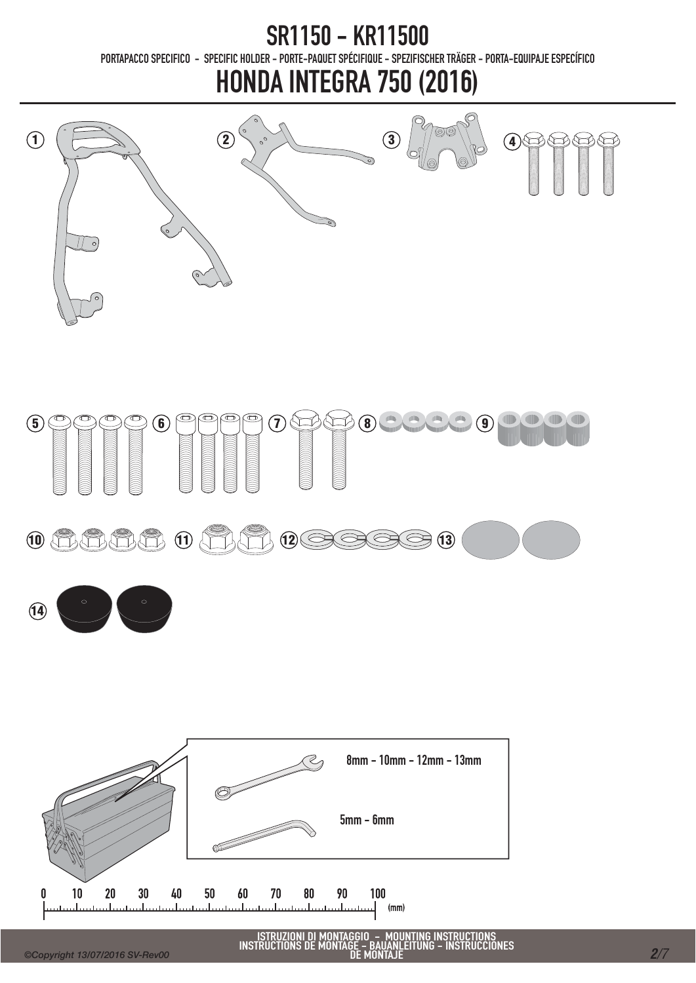### SR1150 - KR11500 PORTAPACCO SPECIFICO - SPECIFIC HOLDER - PORTE-PAQUET SPÉCIFIQUE - SPEZIFISCHER TRÄGER - PORTA-EQUIPAJE ESPECÍFICO

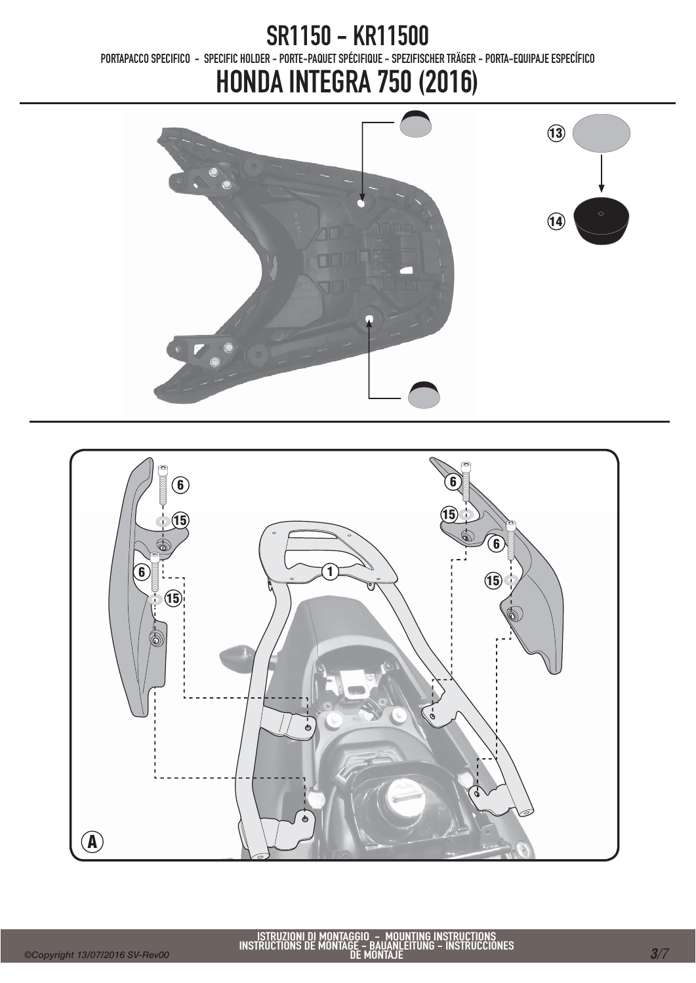PORTAPACCO SPECIFICO - SPECIFIC HOLDER - PORTE-PAQUET SPÉCIFIQUE - SPEZIFISCHER TRÄGER - PORTA-EQUIPAJE ESPECÍFICO



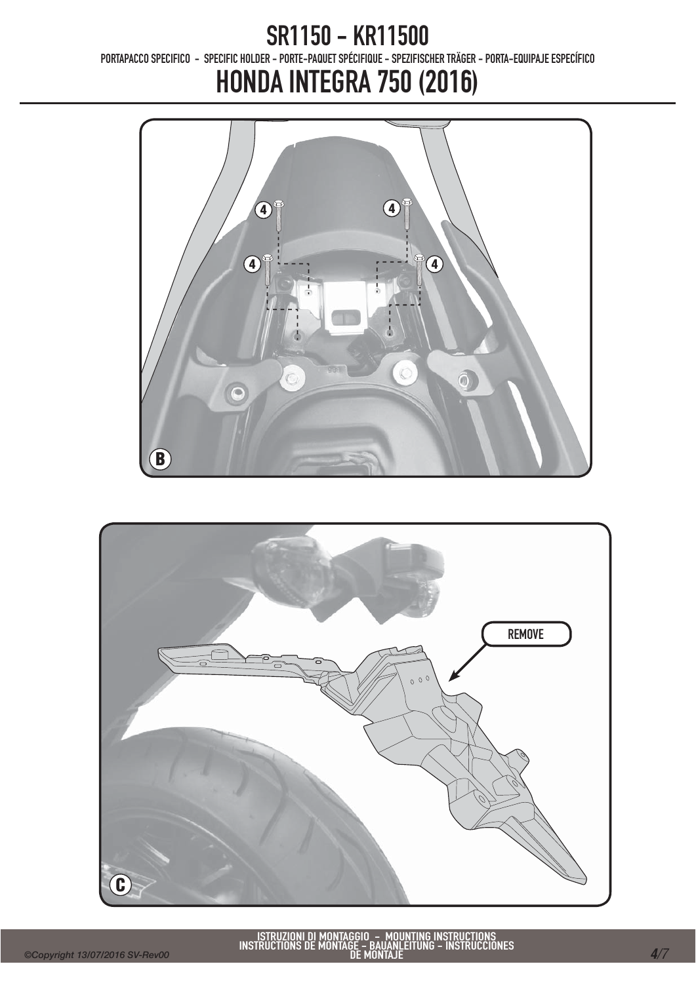PORTAPACCO SPECIFICO - SPECIFIC HOLDER - PORTE-PAQUET SPÉCIFIQUE - SPEZIFISCHER TRÄGER - PORTA-EQUIPAJE ESPECÍFICO



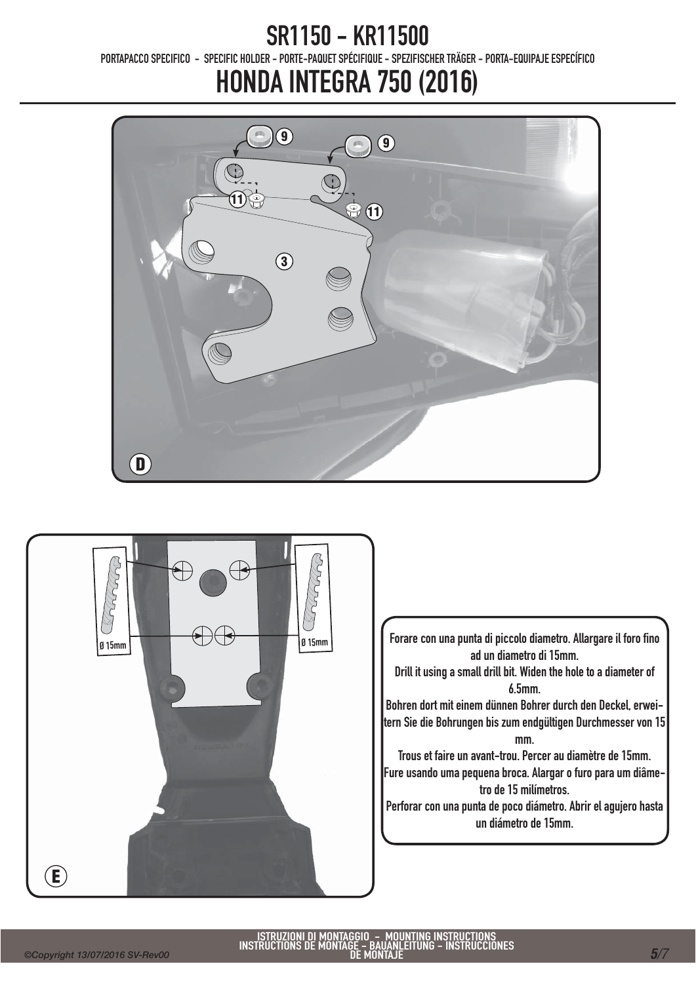PORTAPACCO SPECIFICO - SPECIFIC HOLDER - PORTE-PAQUET SPÉCIFIQUE - SPEZIFISCHER TRÄGER - PORTA-EQUIPAJE ESPECÍFICO



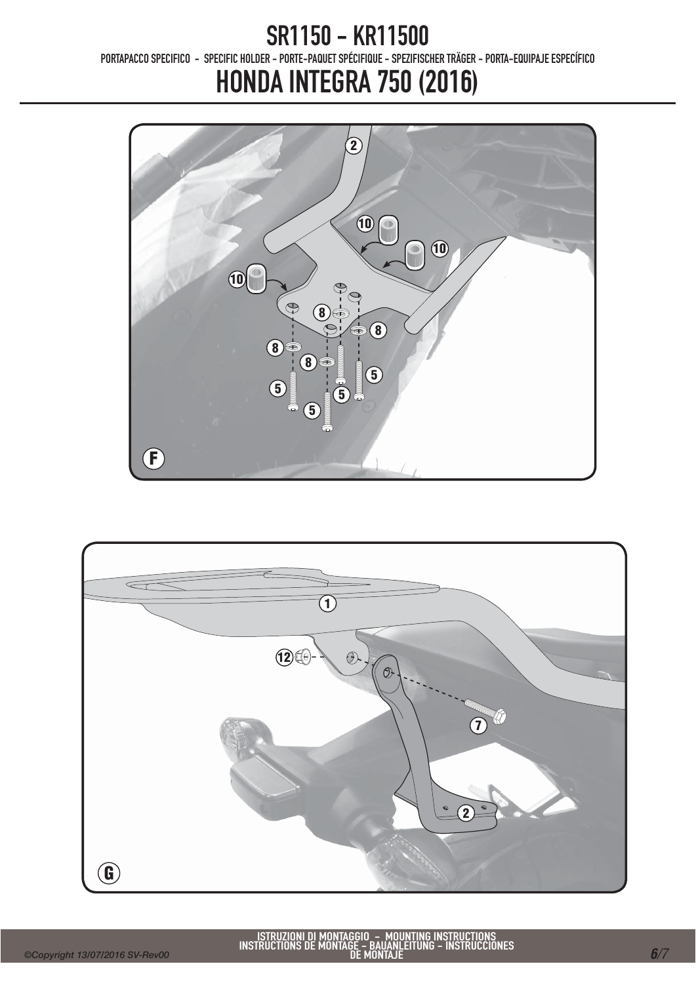### SR1150 - KR11500 PORTAPACCO SPECIFICO - SPECIFIC HOLDER - PORTE-PAQUET SPÉCIFIQUE - SPEZIFISCHER TRÄGER - PORTA-EQUIPAJE ESPECÍFICO